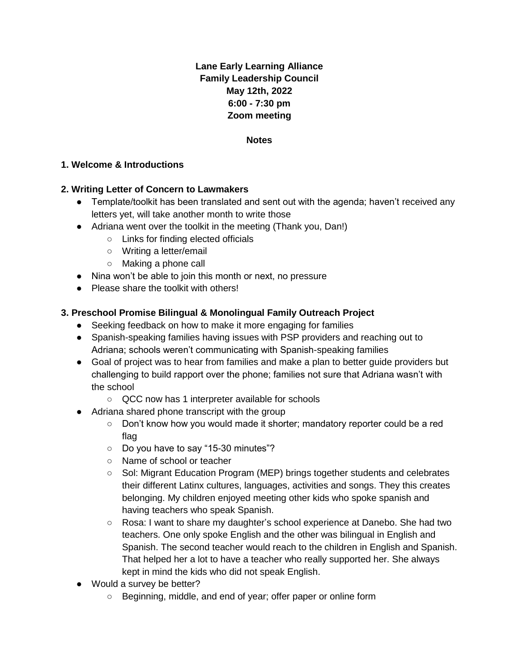# **Lane Early Learning Alliance Family Leadership Council May 12th, 2022 6:00 - 7:30 pm Zoom meeting**

#### **Notes**

#### **1. Welcome & Introductions**

#### **2. Writing Letter of Concern to Lawmakers**

- Template/toolkit has been translated and sent out with the agenda; haven't received any letters yet, will take another month to write those
- Adriana went over the toolkit in the meeting (Thank you, Dan!)
	- Links for finding elected officials
	- Writing a letter/email
	- Making a phone call
- Nina won't be able to join this month or next, no pressure
- Please share the toolkit with others!

### **3. Preschool Promise Bilingual & Monolingual Family Outreach Project**

- Seeking feedback on how to make it more engaging for families
- Spanish-speaking families having issues with PSP providers and reaching out to Adriana; schools weren't communicating with Spanish-speaking families
- Goal of project was to hear from families and make a plan to better quide providers but challenging to build rapport over the phone; families not sure that Adriana wasn't with the school
	- QCC now has 1 interpreter available for schools
- Adriana shared phone transcript with the group
	- Don't know how you would made it shorter; mandatory reporter could be a red flag
	- Do you have to say "15-30 minutes"?
	- Name of school or teacher
	- Sol: Migrant Education Program (MEP) brings together students and celebrates their different Latinx cultures, languages, activities and songs. They this creates belonging. My children enjoyed meeting other kids who spoke spanish and having teachers who speak Spanish.
	- Rosa: I want to share my daughter's school experience at Danebo. She had two teachers. One only spoke English and the other was bilingual in English and Spanish. The second teacher would reach to the children in English and Spanish. That helped her a lot to have a teacher who really supported her. She always kept in mind the kids who did not speak English.
- Would a survey be better?
	- Beginning, middle, and end of year; offer paper or online form